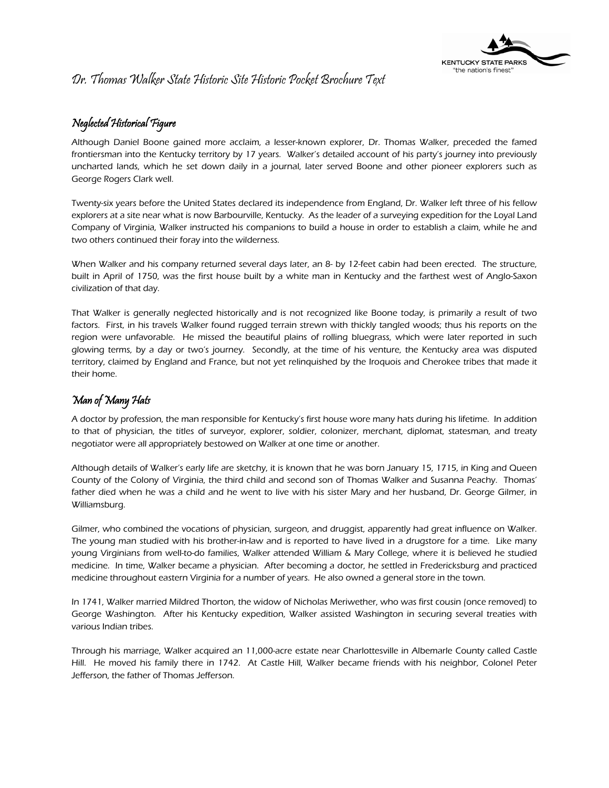

### Dr. Thomas Walker State Historic Site Historic Pocket Brochure Text

### Neglected Historical Figure

Although Daniel Boone gained more acclaim, a lesser-known explorer, Dr. Thomas Walker, preceded the famed frontiersman into the Kentucky territory by 17 years. Walker's detailed account of his party's journey into previously uncharted lands, which he set down daily in a journal, later served Boone and other pioneer explorers such as George Rogers Clark well.

Twenty-six years before the United States declared its independence from England, Dr. Walker left three of his fellow explorers at a site near what is now Barbourville, Kentucky. As the leader of a surveying expedition for the Loyal Land Company of Virginia, Walker instructed his companions to build a house in order to establish a claim, while he and two others continued their foray into the wilderness.

When Walker and his company returned several days later, an 8- by 12-feet cabin had been erected. The structure, built in April of 1750, was the first house built by a white man in Kentucky and the farthest west of Anglo-Saxon civilization of that day.

That Walker is generally neglected historically and is not recognized like Boone today, is primarily a result of two factors. First, in his travels Walker found rugged terrain strewn with thickly tangled woods; thus his reports on the region were unfavorable. He missed the beautiful plains of rolling bluegrass, which were later reported in such glowing terms, by a day or two's journey. Secondly, at the time of his venture, the Kentucky area was disputed territory, claimed by England and France, but not yet relinquished by the Iroquois and Cherokee tribes that made it their home.

### Man of Many Hats

A doctor by profession, the man responsible for Kentucky's first house wore many hats during his lifetime. In addition to that of physician, the titles of surveyor, explorer, soldier, colonizer, merchant, diplomat, statesman, and treaty negotiator were all appropriately bestowed on Walker at one time or another.

Although details of Walker's early life are sketchy, it is known that he was born January 15, 1715, in King and Queen County of the Colony of Virginia, the third child and second son of Thomas Walker and Susanna Peachy. Thomas' father died when he was a child and he went to live with his sister Mary and her husband, Dr. George Gilmer, in Williamsburg.

Gilmer, who combined the vocations of physician, surgeon, and druggist, apparently had great influence on Walker. The young man studied with his brother-in-law and is reported to have lived in a drugstore for a time. Like many young Virginians from well-to-do families, Walker attended William & Mary College, where it is believed he studied medicine. In time, Walker became a physician. After becoming a doctor, he settled in Fredericksburg and practiced medicine throughout eastern Virginia for a number of years. He also owned a general store in the town.

In 1741, Walker married Mildred Thorton, the widow of Nicholas Meriwether, who was first cousin (once removed) to George Washington. After his Kentucky expedition, Walker assisted Washington in securing several treaties with various Indian tribes.

Through his marriage, Walker acquired an 11,000-acre estate near Charlottesville in Albemarle County called Castle Hill. He moved his family there in 1742. At Castle Hill, Walker became friends with his neighbor, Colonel Peter Jefferson, the father of Thomas Jefferson.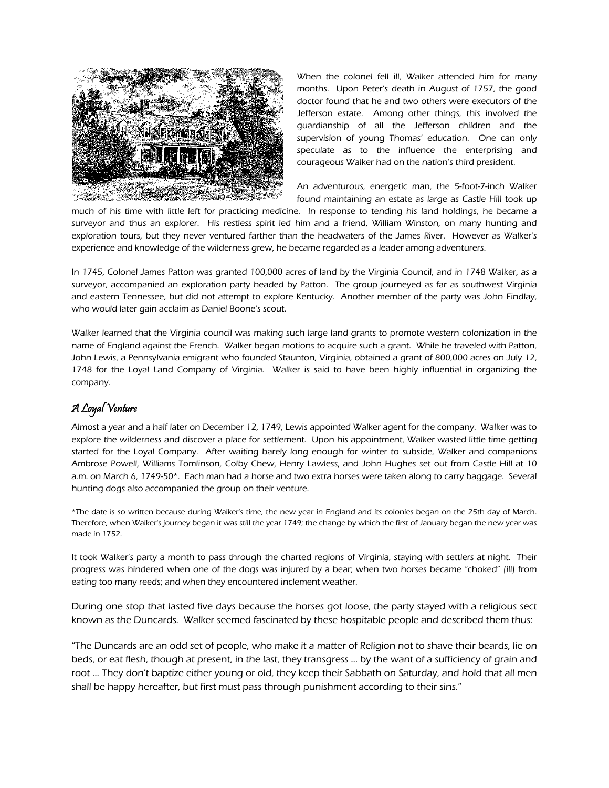

When the colonel fell ill, Walker attended him for many months. Upon Peter's death in August of 1757, the good doctor found that he and two others were executors of the Jefferson estate. Among other things, this involved the guardianship of all the Jefferson children and the supervision of young Thomas' education. One can only speculate as to the influence the enterprising and courageous Walker had on the nation's third president.

An adventurous, energetic man, the 5-foot-7-inch Walker found maintaining an estate as large as Castle Hill took up

much of his time with little left for practicing medicine. In response to tending his land holdings, he became a surveyor and thus an explorer. His restless spirit led him and a friend, William Winston, on many hunting and exploration tours, but they never ventured farther than the headwaters of the James River. However as Walker's experience and knowledge of the wilderness grew, he became regarded as a leader among adventurers.

In 1745, Colonel James Patton was granted 100,000 acres of land by the Virginia Council, and in 1748 Walker, as a surveyor, accompanied an exploration party headed by Patton. The group journeyed as far as southwest Virginia and eastern Tennessee, but did not attempt to explore Kentucky. Another member of the party was John Findlay, who would later gain acclaim as Daniel Boone's scout.

Walker learned that the Virginia council was making such large land grants to promote western colonization in the name of England against the French. Walker began motions to acquire such a grant. While he traveled with Patton, John Lewis, a Pennsylvania emigrant who founded Staunton, Virginia, obtained a grant of 800,000 acres on July 12, 1748 for the Loyal Land Company of Virginia. Walker is said to have been highly influential in organizing the company.

### A Loyal Venture

Almost a year and a half later on December 12, 1749, Lewis appointed Walker agent for the company. Walker was to explore the wilderness and discover a place for settlement. Upon his appointment, Walker wasted little time getting started for the Loyal Company. After waiting barely long enough for winter to subside, Walker and companions Ambrose Powell, Williams Tomlinson, Colby Chew, Henry Lawless, and John Hughes set out from Castle Hill at 10 a.m. on March 6, 1749-50\*. Each man had a horse and two extra horses were taken along to carry baggage. Several hunting dogs also accompanied the group on their venture.

\*The date is so written because during Walker's time, the new year in England and its colonies began on the 25th day of March. Therefore, when Walker's journey began it was still the year 1749; the change by which the first of January began the new year was made in 1752.

It took Walker's party a month to pass through the charted regions of Virginia, staying with settlers at night. Their progress was hindered when one of the dogs was injured by a bear; when two horses became "choked" (ill) from eating too many reeds; and when they encountered inclement weather.

During one stop that lasted five days because the horses got loose, the party stayed with a religious sect known as the Duncards. Walker seemed fascinated by these hospitable people and described them thus:

"The Duncards are an odd set of people, who make it a matter of Religion not to shave their beards, lie on beds, or eat flesh, though at present, in the last, they transgress … by the want of a sufficiency of grain and root … They don't baptize either young or old, they keep their Sabbath on Saturday, and hold that all men shall be happy hereafter, but first must pass through punishment according to their sins."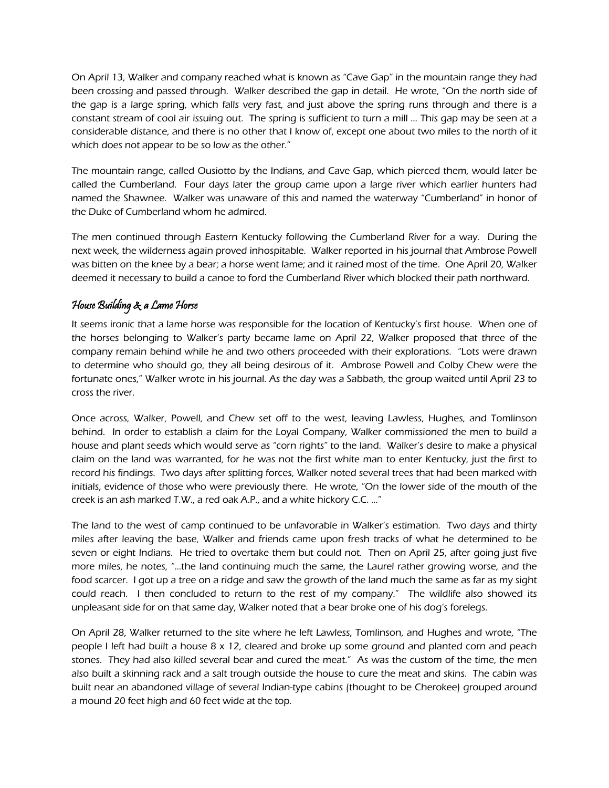On April 13, Walker and company reached what is known as "Cave Gap" in the mountain range they had been crossing and passed through. Walker described the gap in detail. He wrote, "On the north side of the gap is a large spring, which falls very fast, and just above the spring runs through and there is a constant stream of cool air issuing out. The spring is sufficient to turn a mill … This gap may be seen at a considerable distance, and there is no other that I know of, except one about two miles to the north of it which does not appear to be so low as the other."

The mountain range, called Ousiotto by the Indians, and Cave Gap, which pierced them, would later be called the Cumberland. Four days later the group came upon a large river which earlier hunters had named the Shawnee. Walker was unaware of this and named the waterway "Cumberland" in honor of the Duke of Cumberland whom he admired.

The men continued through Eastern Kentucky following the Cumberland River for a way. During the next week, the wilderness again proved inhospitable. Walker reported in his journal that Ambrose Powell was bitten on the knee by a bear; a horse went lame; and it rained most of the time. One April 20, Walker deemed it necessary to build a canoe to ford the Cumberland River which blocked their path northward.

#### House Building & a Lame Horse

It seems ironic that a lame horse was responsible for the location of Kentucky's first house. When one of the horses belonging to Walker's party became lame on April 22, Walker proposed that three of the company remain behind while he and two others proceeded with their explorations. "Lots were drawn to determine who should go, they all being desirous of it. Ambrose Powell and Colby Chew were the fortunate ones," Walker wrote in his journal. As the day was a Sabbath, the group waited until April 23 to cross the river.

Once across, Walker, Powell, and Chew set off to the west, leaving Lawless, Hughes, and Tomlinson behind. In order to establish a claim for the Loyal Company, Walker commissioned the men to build a house and plant seeds which would serve as "corn rights" to the land. Walker's desire to make a physical claim on the land was warranted, for he was not the first white man to enter Kentucky, just the first to record his findings. Two days after splitting forces, Walker noted several trees that had been marked with initials, evidence of those who were previously there. He wrote, "On the lower side of the mouth of the creek is an ash marked T.W., a red oak A.P., and a white hickory C.C. …"

The land to the west of camp continued to be unfavorable in Walker's estimation. Two days and thirty miles after leaving the base, Walker and friends came upon fresh tracks of what he determined to be seven or eight Indians. He tried to overtake them but could not. Then on April 25, after going just five more miles, he notes, "…the land continuing much the same, the Laurel rather growing worse, and the food scarcer. I got up a tree on a ridge and saw the growth of the land much the same as far as my sight could reach. I then concluded to return to the rest of my company." The wildlife also showed its unpleasant side for on that same day, Walker noted that a bear broke one of his dog's forelegs.

On April 28, Walker returned to the site where he left Lawless, Tomlinson, and Hughes and wrote, "The people I left had built a house 8 x 12, cleared and broke up some ground and planted corn and peach stones. They had also killed several bear and cured the meat." As was the custom of the time, the men also built a skinning rack and a salt trough outside the house to cure the meat and skins. The cabin was built near an abandoned village of several Indian-type cabins (thought to be Cherokee) grouped around a mound 20 feet high and 60 feet wide at the top.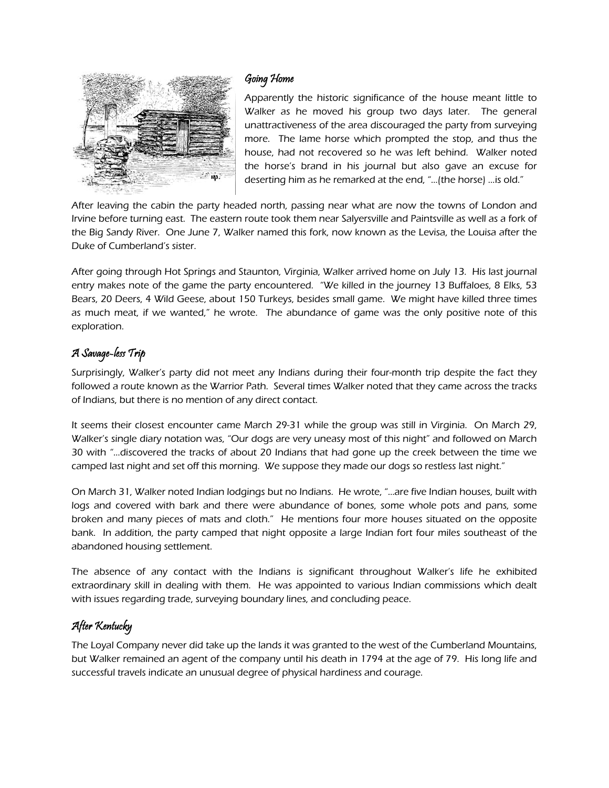

#### Going Home

Apparently the historic significance of the house meant little to Walker as he moved his group two days later. The general unattractiveness of the area discouraged the party from surveying more. The lame horse which prompted the stop, and thus the house, had not recovered so he was left behind. Walker noted the horse's brand in his journal but also gave an excuse for deserting him as he remarked at the end, "…(the horse) …is old."

After leaving the cabin the party headed north, passing near what are now the towns of London and Irvine before turning east. The eastern route took them near Salyersville and Paintsville as well as a fork of the Big Sandy River. One June 7, Walker named this fork, now known as the Levisa, the Louisa after the Duke of Cumberland's sister.

After going through Hot Springs and Staunton, Virginia, Walker arrived home on July 13. His last journal entry makes note of the game the party encountered. "We killed in the journey 13 Buffaloes, 8 Elks, 53 Bears, 20 Deers, 4 Wild Geese, about 150 Turkeys, besides small game. We might have killed three times as much meat, if we wanted," he wrote. The abundance of game was the only positive note of this exploration.

# A Savage-less Trip

Surprisingly, Walker's party did not meet any Indians during their four-month trip despite the fact they followed a route known as the Warrior Path. Several times Walker noted that they came across the tracks of Indians, but there is no mention of any direct contact.

It seems their closest encounter came March 29-31 while the group was still in Virginia. On March 29, Walker's single diary notation was, "Our dogs are very uneasy most of this night" and followed on March 30 with "…discovered the tracks of about 20 Indians that had gone up the creek between the time we camped last night and set off this morning. We suppose they made our dogs so restless last night."

On March 31, Walker noted Indian lodgings but no Indians. He wrote, "…are five Indian houses, built with logs and covered with bark and there were abundance of bones, some whole pots and pans, some broken and many pieces of mats and cloth." He mentions four more houses situated on the opposite bank. In addition, the party camped that night opposite a large Indian fort four miles southeast of the abandoned housing settlement.

The absence of any contact with the Indians is significant throughout Walker's life he exhibited extraordinary skill in dealing with them. He was appointed to various Indian commissions which dealt with issues regarding trade, surveying boundary lines, and concluding peace.

# After Kentucky

The Loyal Company never did take up the lands it was granted to the west of the Cumberland Mountains, but Walker remained an agent of the company until his death in 1794 at the age of 79. His long life and successful travels indicate an unusual degree of physical hardiness and courage.